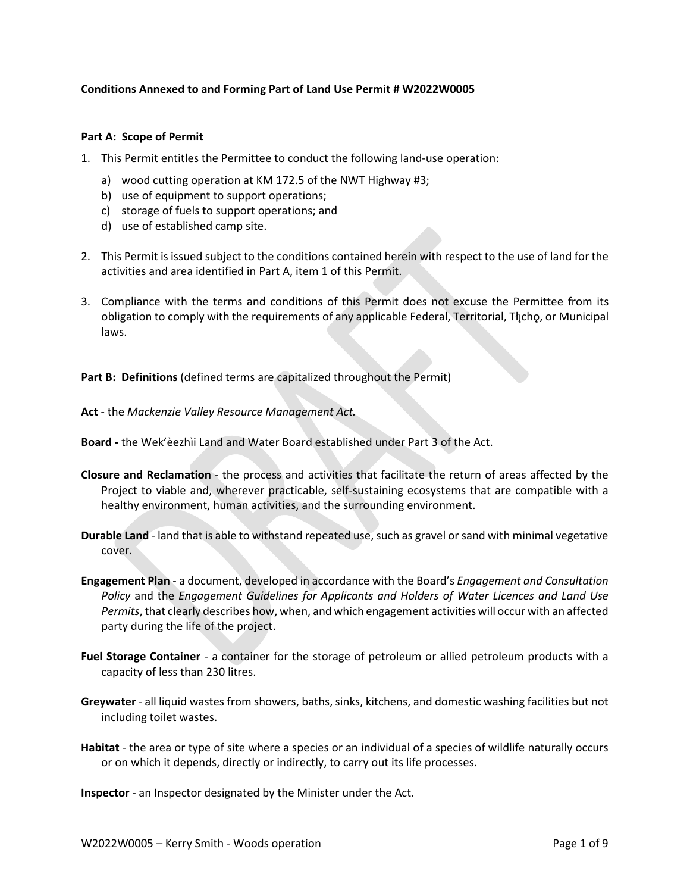## **Conditions Annexed to and Forming Part of Land Use Permit # W2022W0005**

## **Part A: Scope of Permit**

- 1. This Permit entitles the Permittee to conduct the following land-use operation:
	- a) wood cutting operation at KM 172.5 of the NWT Highway #3;
	- b) use of equipment to support operations;
	- c) storage of fuels to support operations; and
	- d) use of established camp site.
- 2. This Permit is issued subject to the conditions contained herein with respect to the use of land for the activities and area identified in Part A, item 1 of this Permit.
- 3. Compliance with the terms and conditions of this Permit does not excuse the Permittee from its obligation to comply with the requirements of any applicable Federal, Territorial, Tłıchǫ, or Municipal laws.

**Part B: Definitions** (defined terms are capitalized throughout the Permit)

**Act** - the *Mackenzie Valley Resource Management Act.*

**Board -** the Wek'èezhìi Land and Water Board established under Part 3 of the Act.

- **Closure and Reclamation** the process and activities that facilitate the return of areas affected by the Project to viable and, wherever practicable, self-sustaining ecosystems that are compatible with a healthy environment, human activities, and the surrounding environment.
- **Durable Land** land that is able to withstand repeated use, such as gravel or sand with minimal vegetative cover.
- **Engagement Plan**  a document, developed in accordance with the Board's *Engagement and Consultation Policy* and the *Engagement Guidelines for Applicants and Holders of Water Licences and Land Use Permits*, that clearly describes how, when, and which engagement activities will occur with an affected party during the life of the project.
- **Fuel Storage Container** a container for the storage of petroleum or allied petroleum products with a capacity of less than 230 litres.
- **Greywater** all liquid wastes from showers, baths, sinks, kitchens, and domestic washing facilities but not including toilet wastes.
- **Habitat** the area or type of site where a species or an individual of a species of wildlife naturally occurs or on which it depends, directly or indirectly, to carry out its life processes.

**Inspector** - an Inspector designated by the Minister under the Act.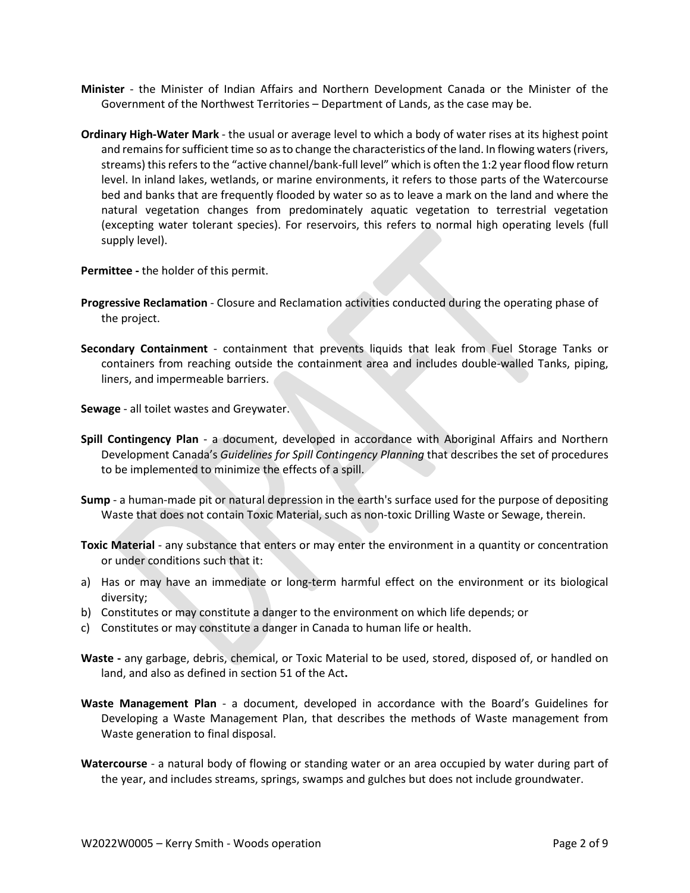- **Minister** the Minister of Indian Affairs and Northern Development Canada or the Minister of the Government of the Northwest Territories – Department of Lands, as the case may be.
- **Ordinary High-Water Mark**  the usual or average level to which a body of water rises at its highest point and remains for sufficient time so as to change the characteristics of the land. In flowing waters (rivers, streams) this refers to the "active channel/bank-full level" which is often the 1:2 year flood flow return level. In inland lakes, wetlands, or marine environments, it refers to those parts of the Watercourse bed and banks that are frequently flooded by water so as to leave a mark on the land and where the natural vegetation changes from predominately aquatic vegetation to terrestrial vegetation (excepting water tolerant species). For reservoirs, this refers to normal high operating levels (full supply level).

**Permittee -** the holder of this permit.

- **Progressive Reclamation**  Closure and Reclamation activities conducted during the operating phase of the project.
- **Secondary Containment** containment that prevents liquids that leak from Fuel Storage Tanks or containers from reaching outside the containment area and includes double-walled Tanks, piping, liners, and impermeable barriers.

**Sewage** - all toilet wastes and Greywater.

- **Spill Contingency Plan** a document, developed in accordance with Aboriginal Affairs and Northern Development Canada's *Guidelines for Spill Contingency Planning* that describes the set of procedures to be implemented to minimize the effects of a spill.
- **Sump** a human-made pit or natural depression in the earth's surface used for the purpose of depositing Waste that does not contain Toxic Material, such as non-toxic Drilling Waste or Sewage, therein.
- **Toxic Material** any substance that enters or may enter the environment in a quantity or concentration or under conditions such that it:
- a) Has or may have an immediate or long-term harmful effect on the environment or its biological diversity;
- b) Constitutes or may constitute a danger to the environment on which life depends; or
- c) Constitutes or may constitute a danger in Canada to human life or health.
- **Waste -** any garbage, debris, chemical, or Toxic Material to be used, stored, disposed of, or handled on land, and also as defined in section 51 of the Act**.**
- **Waste Management Plan** a document, developed in accordance with the Board's Guidelines for Developing a Waste Management Plan, that describes the methods of Waste management from Waste generation to final disposal.
- **Watercourse** a natural body of flowing or standing water or an area occupied by water during part of the year, and includes streams, springs, swamps and gulches but does not include groundwater.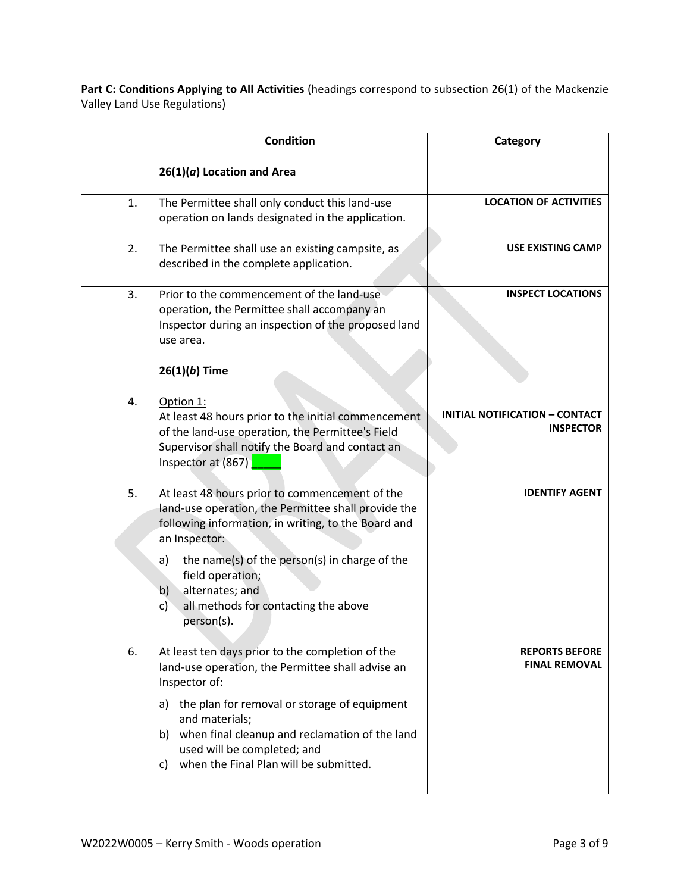Part C: Conditions Applying to All Activities (headings correspond to subsection 26(1) of the Mackenzie Valley Land Use Regulations)

|    | <b>Condition</b>                                                                                                                                                                                                                                                                                                                              | Category                                                  |
|----|-----------------------------------------------------------------------------------------------------------------------------------------------------------------------------------------------------------------------------------------------------------------------------------------------------------------------------------------------|-----------------------------------------------------------|
|    | $26(1)(a)$ Location and Area                                                                                                                                                                                                                                                                                                                  |                                                           |
| 1. | The Permittee shall only conduct this land-use<br>operation on lands designated in the application.                                                                                                                                                                                                                                           | <b>LOCATION OF ACTIVITIES</b>                             |
| 2. | The Permittee shall use an existing campsite, as<br>described in the complete application.                                                                                                                                                                                                                                                    | <b>USE EXISTING CAMP</b>                                  |
| 3. | Prior to the commencement of the land-use<br>operation, the Permittee shall accompany an<br>Inspector during an inspection of the proposed land<br>use area.                                                                                                                                                                                  | <b>INSPECT LOCATIONS</b>                                  |
|    | $26(1)(b)$ Time                                                                                                                                                                                                                                                                                                                               |                                                           |
| 4. | Option 1:<br>At least 48 hours prior to the initial commencement<br>of the land-use operation, the Permittee's Field<br>Supervisor shall notify the Board and contact an<br>Inspector at (867)                                                                                                                                                | <b>INITIAL NOTIFICATION - CONTACT</b><br><b>INSPECTOR</b> |
| 5. | At least 48 hours prior to commencement of the<br>land-use operation, the Permittee shall provide the<br>following information, in writing, to the Board and<br>an Inspector:<br>the name(s) of the person(s) in charge of the<br>a)<br>field operation;<br>alternates; and<br>b)<br>all methods for contacting the above<br>c)<br>person(s). | <b>IDENTIFY AGENT</b>                                     |
| 6. | At least ten days prior to the completion of the<br>land-use operation, the Permittee shall advise an<br>Inspector of:<br>a) the plan for removal or storage of equipment<br>and materials;<br>when final cleanup and reclamation of the land<br>b)<br>used will be completed; and<br>when the Final Plan will be submitted.<br>C)            | <b>REPORTS BEFORE</b><br><b>FINAL REMOVAL</b>             |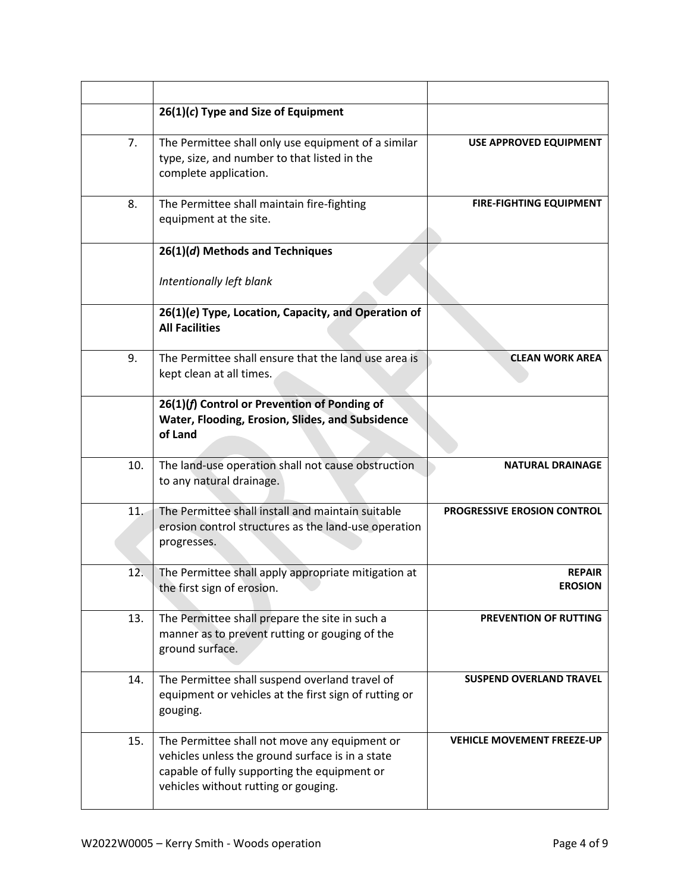|     | $26(1)(c)$ Type and Size of Equipment                                                                                                                                                     |                                   |
|-----|-------------------------------------------------------------------------------------------------------------------------------------------------------------------------------------------|-----------------------------------|
| 7.  | The Permittee shall only use equipment of a similar<br>type, size, and number to that listed in the<br>complete application.                                                              | USE APPROVED EQUIPMENT            |
| 8.  | The Permittee shall maintain fire-fighting<br>equipment at the site.                                                                                                                      | <b>FIRE-FIGHTING EQUIPMENT</b>    |
|     | 26(1)(d) Methods and Techniques                                                                                                                                                           |                                   |
|     | Intentionally left blank                                                                                                                                                                  |                                   |
|     | 26(1)(e) Type, Location, Capacity, and Operation of<br><b>All Facilities</b>                                                                                                              |                                   |
| 9.  | The Permittee shall ensure that the land use area is<br>kept clean at all times.                                                                                                          | <b>CLEAN WORK AREA</b>            |
|     | 26(1)(f) Control or Prevention of Ponding of<br>Water, Flooding, Erosion, Slides, and Subsidence<br>of Land                                                                               |                                   |
| 10. | The land-use operation shall not cause obstruction<br>to any natural drainage.                                                                                                            | <b>NATURAL DRAINAGE</b>           |
| 11. | The Permittee shall install and maintain suitable<br>erosion control structures as the land-use operation<br>progresses.                                                                  | PROGRESSIVE EROSION CONTROL       |
| 12. | The Permittee shall apply appropriate mitigation at<br>the first sign of erosion.                                                                                                         | <b>REPAIR</b><br><b>EROSION</b>   |
| 13. | The Permittee shall prepare the site in such a<br>manner as to prevent rutting or gouging of the<br>ground surface.                                                                       | PREVENTION OF RUTTING             |
| 14. | The Permittee shall suspend overland travel of<br>equipment or vehicles at the first sign of rutting or<br>gouging.                                                                       | <b>SUSPEND OVERLAND TRAVEL</b>    |
| 15. | The Permittee shall not move any equipment or<br>vehicles unless the ground surface is in a state<br>capable of fully supporting the equipment or<br>vehicles without rutting or gouging. | <b>VEHICLE MOVEMENT FREEZE-UP</b> |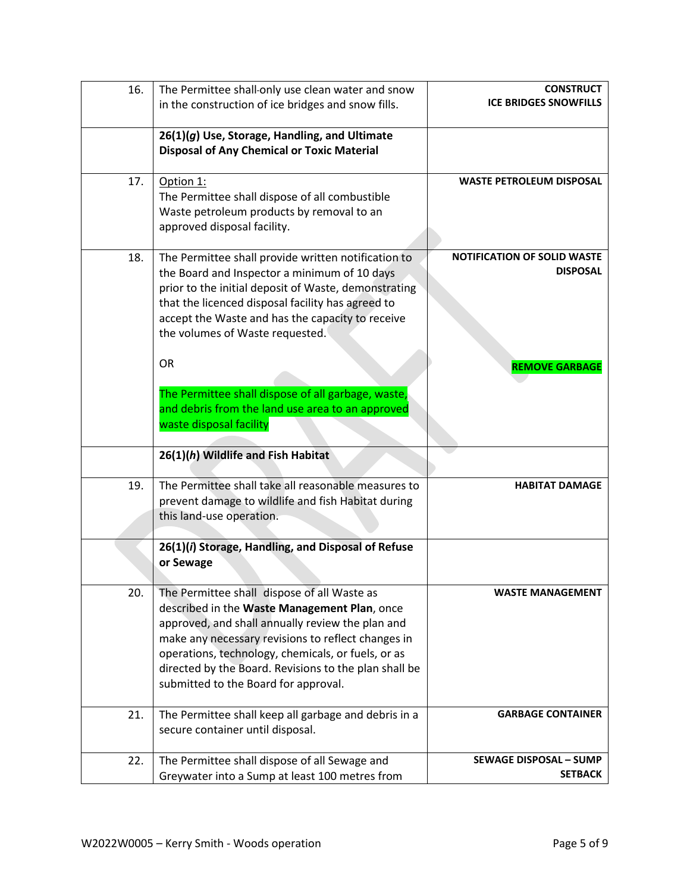| 16. | The Permittee shall-only use clean water and snow                                                  | <b>CONSTRUCT</b>                   |
|-----|----------------------------------------------------------------------------------------------------|------------------------------------|
|     | in the construction of ice bridges and snow fills.                                                 | <b>ICE BRIDGES SNOWFILLS</b>       |
|     |                                                                                                    |                                    |
|     | 26(1)(g) Use, Storage, Handling, and Ultimate<br><b>Disposal of Any Chemical or Toxic Material</b> |                                    |
|     |                                                                                                    |                                    |
| 17. | Option 1:                                                                                          | <b>WASTE PETROLEUM DISPOSAL</b>    |
|     | The Permittee shall dispose of all combustible                                                     |                                    |
|     | Waste petroleum products by removal to an                                                          |                                    |
|     | approved disposal facility.                                                                        |                                    |
| 18. | The Permittee shall provide written notification to                                                | <b>NOTIFICATION OF SOLID WASTE</b> |
|     | the Board and Inspector a minimum of 10 days                                                       | <b>DISPOSAL</b>                    |
|     | prior to the initial deposit of Waste, demonstrating                                               |                                    |
|     | that the licenced disposal facility has agreed to                                                  |                                    |
|     | accept the Waste and has the capacity to receive                                                   |                                    |
|     | the volumes of Waste requested.                                                                    |                                    |
|     | <b>OR</b>                                                                                          |                                    |
|     |                                                                                                    | <b>REMOVE GARBAGE</b>              |
|     | The Permittee shall dispose of all garbage, waste,                                                 |                                    |
|     | and debris from the land use area to an approved                                                   |                                    |
|     | waste disposal facility                                                                            |                                    |
|     |                                                                                                    |                                    |
|     | 26(1)(h) Wildlife and Fish Habitat                                                                 |                                    |
| 19. | The Permittee shall take all reasonable measures to                                                | <b>HABITAT DAMAGE</b>              |
|     | prevent damage to wildlife and fish Habitat during                                                 |                                    |
|     | this land-use operation.                                                                           |                                    |
|     |                                                                                                    |                                    |
|     | 26(1)(i) Storage, Handling, and Disposal of Refuse                                                 |                                    |
|     | or Sewage                                                                                          |                                    |
| 20. | The Permittee shall dispose of all Waste as                                                        | <b>WASTE MANAGEMENT</b>            |
|     | described in the Waste Management Plan, once                                                       |                                    |
|     | approved, and shall annually review the plan and                                                   |                                    |
|     | make any necessary revisions to reflect changes in                                                 |                                    |
|     | operations, technology, chemicals, or fuels, or as                                                 |                                    |
|     | directed by the Board. Revisions to the plan shall be                                              |                                    |
|     | submitted to the Board for approval.                                                               |                                    |
| 21. | The Permittee shall keep all garbage and debris in a                                               | <b>GARBAGE CONTAINER</b>           |
|     | secure container until disposal.                                                                   |                                    |
|     |                                                                                                    |                                    |
| 22. | The Permittee shall dispose of all Sewage and                                                      | <b>SEWAGE DISPOSAL - SUMP</b>      |
|     | Greywater into a Sump at least 100 metres from                                                     | <b>SETBACK</b>                     |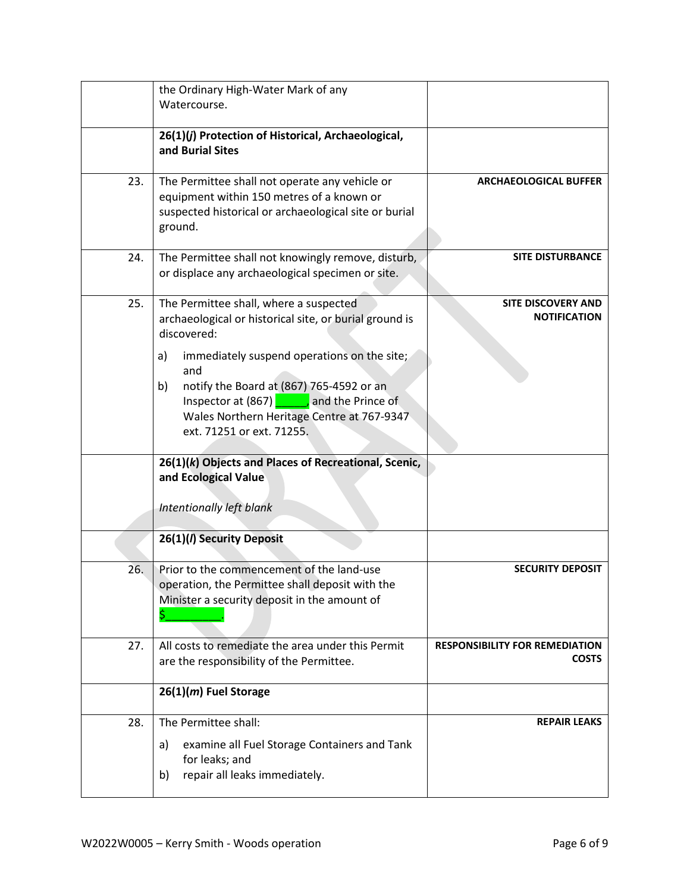|     | the Ordinary High-Water Mark of any                                                    |                                       |
|-----|----------------------------------------------------------------------------------------|---------------------------------------|
|     | Watercourse.                                                                           |                                       |
|     |                                                                                        |                                       |
|     | 26(1)(j) Protection of Historical, Archaeological,<br>and Burial Sites                 |                                       |
|     |                                                                                        |                                       |
| 23. | The Permittee shall not operate any vehicle or                                         | <b>ARCHAEOLOGICAL BUFFER</b>          |
|     | equipment within 150 metres of a known or                                              |                                       |
|     | suspected historical or archaeological site or burial                                  |                                       |
|     | ground.                                                                                |                                       |
| 24. | The Permittee shall not knowingly remove, disturb,                                     | <b>SITE DISTURBANCE</b>               |
|     | or displace any archaeological specimen or site.                                       |                                       |
|     |                                                                                        |                                       |
| 25. | The Permittee shall, where a suspected                                                 | <b>SITE DISCOVERY AND</b>             |
|     | archaeological or historical site, or burial ground is                                 | <b>NOTIFICATION</b>                   |
|     | discovered:                                                                            |                                       |
|     | immediately suspend operations on the site;<br>a)                                      |                                       |
|     | and                                                                                    |                                       |
|     | notify the Board at (867) 765-4592 or an<br>b)                                         |                                       |
|     | Inspector at $(867)$ , and the Prince of<br>Wales Northern Heritage Centre at 767-9347 |                                       |
|     | ext. 71251 or ext. 71255.                                                              |                                       |
|     |                                                                                        |                                       |
|     | 26(1)(k) Objects and Places of Recreational, Scenic,                                   |                                       |
|     | and Ecological Value                                                                   |                                       |
|     |                                                                                        |                                       |
|     | Intentionally left blank                                                               |                                       |
|     | 26(1)(/) Security Deposit                                                              |                                       |
|     |                                                                                        |                                       |
| 26. | Prior to the commencement of the land-use                                              | <b>SECURITY DEPOSIT</b>               |
|     | operation, the Permittee shall deposit with the                                        |                                       |
|     | Minister a security deposit in the amount of                                           |                                       |
|     | \$                                                                                     |                                       |
| 27. | All costs to remediate the area under this Permit                                      | <b>RESPONSIBILITY FOR REMEDIATION</b> |
|     | are the responsibility of the Permittee.                                               | <b>COSTS</b>                          |
|     |                                                                                        |                                       |
|     | 26(1)(m) Fuel Storage                                                                  |                                       |
| 28. | The Permittee shall:                                                                   | <b>REPAIR LEAKS</b>                   |
|     | examine all Fuel Storage Containers and Tank<br>a)                                     |                                       |
|     | for leaks; and                                                                         |                                       |
|     | repair all leaks immediately.<br>b)                                                    |                                       |
|     |                                                                                        |                                       |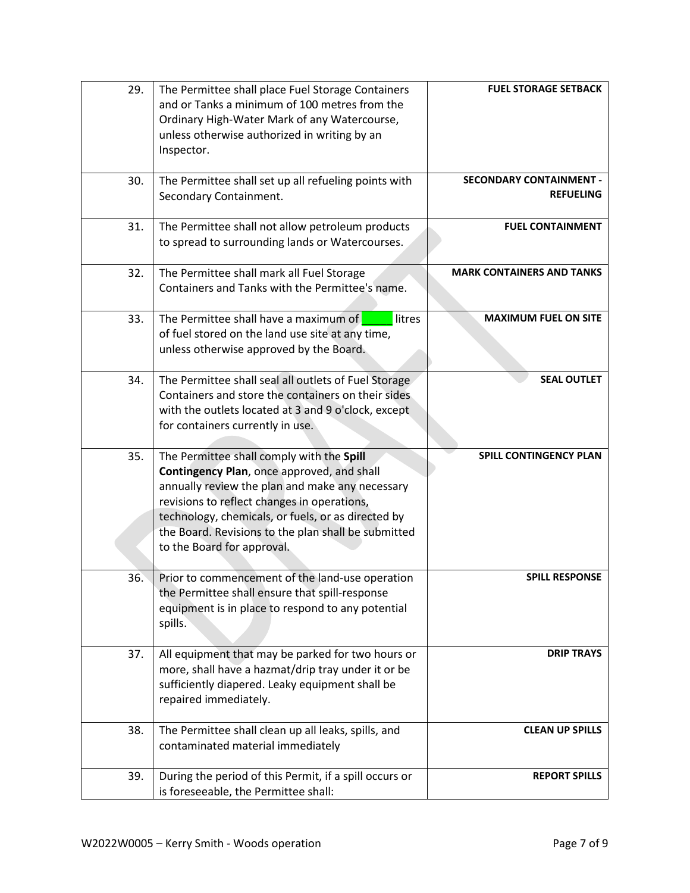| 29. | The Permittee shall place Fuel Storage Containers<br>and or Tanks a minimum of 100 metres from the<br>Ordinary High-Water Mark of any Watercourse,<br>unless otherwise authorized in writing by an<br>Inspector.                                                                                                                     | <b>FUEL STORAGE SETBACK</b>                        |
|-----|--------------------------------------------------------------------------------------------------------------------------------------------------------------------------------------------------------------------------------------------------------------------------------------------------------------------------------------|----------------------------------------------------|
| 30. | The Permittee shall set up all refueling points with<br>Secondary Containment.                                                                                                                                                                                                                                                       | <b>SECONDARY CONTAINMENT -</b><br><b>REFUELING</b> |
| 31. | The Permittee shall not allow petroleum products<br>to spread to surrounding lands or Watercourses.                                                                                                                                                                                                                                  | <b>FUEL CONTAINMENT</b>                            |
| 32. | The Permittee shall mark all Fuel Storage<br>Containers and Tanks with the Permittee's name.                                                                                                                                                                                                                                         | <b>MARK CONTAINERS AND TANKS</b>                   |
| 33. | The Permittee shall have a maximum of<br>litres<br>of fuel stored on the land use site at any time,<br>unless otherwise approved by the Board.                                                                                                                                                                                       | <b>MAXIMUM FUEL ON SITE</b>                        |
| 34. | The Permittee shall seal all outlets of Fuel Storage<br>Containers and store the containers on their sides<br>with the outlets located at 3 and 9 o'clock, except<br>for containers currently in use.                                                                                                                                | <b>SEAL OUTLET</b>                                 |
| 35. | The Permittee shall comply with the Spill<br>Contingency Plan, once approved, and shall<br>annually review the plan and make any necessary<br>revisions to reflect changes in operations,<br>technology, chemicals, or fuels, or as directed by<br>the Board. Revisions to the plan shall be submitted<br>to the Board for approval. | SPILL CONTINGENCY PLAN                             |
| 36. | Prior to commencement of the land-use operation<br>the Permittee shall ensure that spill-response<br>equipment is in place to respond to any potential<br>spills.                                                                                                                                                                    | <b>SPILL RESPONSE</b>                              |
| 37. | All equipment that may be parked for two hours or<br>more, shall have a hazmat/drip tray under it or be<br>sufficiently diapered. Leaky equipment shall be<br>repaired immediately.                                                                                                                                                  | <b>DRIP TRAYS</b>                                  |
| 38. | The Permittee shall clean up all leaks, spills, and<br>contaminated material immediately                                                                                                                                                                                                                                             | <b>CLEAN UP SPILLS</b>                             |
| 39. | During the period of this Permit, if a spill occurs or<br>is foreseeable, the Permittee shall:                                                                                                                                                                                                                                       | <b>REPORT SPILLS</b>                               |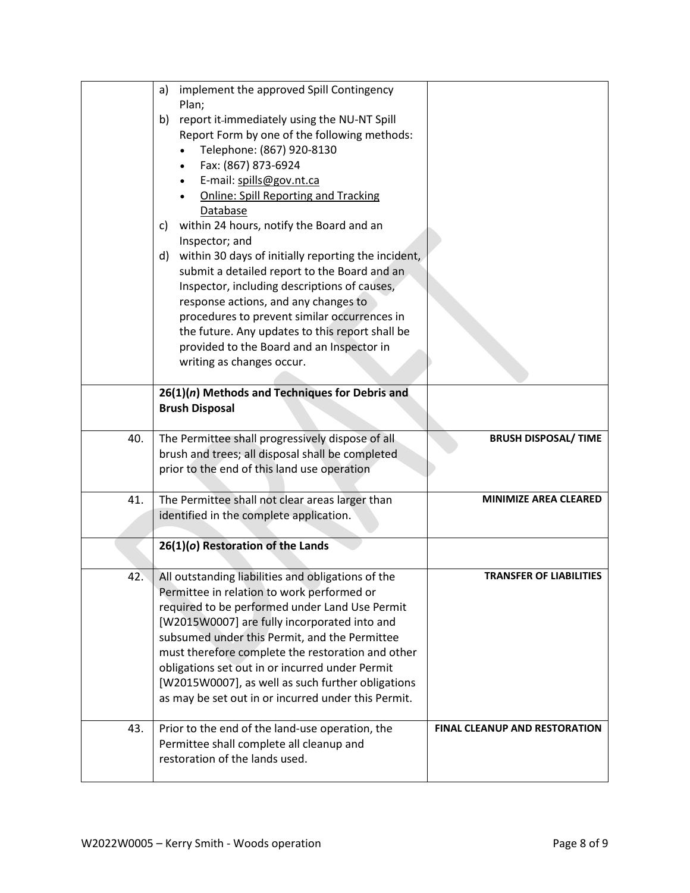|     | implement the approved Spill Contingency<br>a)                                                                                                                                                                                                                                                                                                                                                                                                                                                                                                                                                                                                                                                              |                                      |
|-----|-------------------------------------------------------------------------------------------------------------------------------------------------------------------------------------------------------------------------------------------------------------------------------------------------------------------------------------------------------------------------------------------------------------------------------------------------------------------------------------------------------------------------------------------------------------------------------------------------------------------------------------------------------------------------------------------------------------|--------------------------------------|
|     | Plan;<br>report it-immediately using the NU-NT Spill<br>b)<br>Report Form by one of the following methods:<br>Telephone: (867) 920-8130<br>Fax: (867) 873-6924<br>E-mail: spills@gov.nt.ca<br><b>Online: Spill Reporting and Tracking</b><br>Database<br>within 24 hours, notify the Board and an<br>C)<br>Inspector; and<br>within 30 days of initially reporting the incident,<br>d)<br>submit a detailed report to the Board and an<br>Inspector, including descriptions of causes,<br>response actions, and any changes to<br>procedures to prevent similar occurrences in<br>the future. Any updates to this report shall be<br>provided to the Board and an Inspector in<br>writing as changes occur. |                                      |
|     | 26(1)(n) Methods and Techniques for Debris and<br><b>Brush Disposal</b>                                                                                                                                                                                                                                                                                                                                                                                                                                                                                                                                                                                                                                     |                                      |
| 40. | The Permittee shall progressively dispose of all<br>brush and trees; all disposal shall be completed<br>prior to the end of this land use operation                                                                                                                                                                                                                                                                                                                                                                                                                                                                                                                                                         | <b>BRUSH DISPOSAL/ TIME</b>          |
| 41. | The Permittee shall not clear areas larger than<br>identified in the complete application.                                                                                                                                                                                                                                                                                                                                                                                                                                                                                                                                                                                                                  | <b>MINIMIZE AREA CLEARED</b>         |
|     | 26(1)(o) Restoration of the Lands                                                                                                                                                                                                                                                                                                                                                                                                                                                                                                                                                                                                                                                                           |                                      |
| 42. | All outstanding liabilities and obligations of the<br>Permittee in relation to work performed or<br>required to be performed under Land Use Permit<br>[W2015W0007] are fully incorporated into and<br>subsumed under this Permit, and the Permittee<br>must therefore complete the restoration and other<br>obligations set out in or incurred under Permit<br>[W2015W0007], as well as such further obligations<br>as may be set out in or incurred under this Permit.                                                                                                                                                                                                                                     | <b>TRANSFER OF LIABILITIES</b>       |
| 43. | Prior to the end of the land-use operation, the<br>Permittee shall complete all cleanup and<br>restoration of the lands used.                                                                                                                                                                                                                                                                                                                                                                                                                                                                                                                                                                               | <b>FINAL CLEANUP AND RESTORATION</b> |